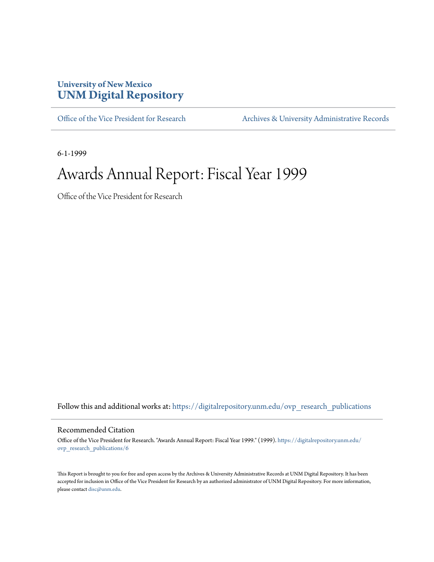#### **University of New Mexico [UNM Digital Repository](https://digitalrepository.unm.edu?utm_source=digitalrepository.unm.edu%2Fovp_research_publications%2F6&utm_medium=PDF&utm_campaign=PDFCoverPages)**

[Office of the Vice President for Research](https://digitalrepository.unm.edu/ovp_research_publications?utm_source=digitalrepository.unm.edu%2Fovp_research_publications%2F6&utm_medium=PDF&utm_campaign=PDFCoverPages) [Archives & University Administrative Records](https://digitalrepository.unm.edu/archives?utm_source=digitalrepository.unm.edu%2Fovp_research_publications%2F6&utm_medium=PDF&utm_campaign=PDFCoverPages)

6-1-1999

#### Awards Annual Report: Fiscal Year 1999

Office of the Vice President for Research

Follow this and additional works at: [https://digitalrepository.unm.edu/ovp\\_research\\_publications](https://digitalrepository.unm.edu/ovp_research_publications?utm_source=digitalrepository.unm.edu%2Fovp_research_publications%2F6&utm_medium=PDF&utm_campaign=PDFCoverPages)

#### Recommended Citation

Office of the Vice President for Research. "Awards Annual Report: Fiscal Year 1999." (1999). [https://digitalrepository.unm.edu/](https://digitalrepository.unm.edu/ovp_research_publications/6?utm_source=digitalrepository.unm.edu%2Fovp_research_publications%2F6&utm_medium=PDF&utm_campaign=PDFCoverPages) [ovp\\_research\\_publications/6](https://digitalrepository.unm.edu/ovp_research_publications/6?utm_source=digitalrepository.unm.edu%2Fovp_research_publications%2F6&utm_medium=PDF&utm_campaign=PDFCoverPages)

This Report is brought to you for free and open access by the Archives & University Administrative Records at UNM Digital Repository. It has been accepted for inclusion in Office of the Vice President for Research by an authorized administrator of UNM Digital Repository. For more information, please contact [disc@unm.edu.](mailto:disc@unm.edu)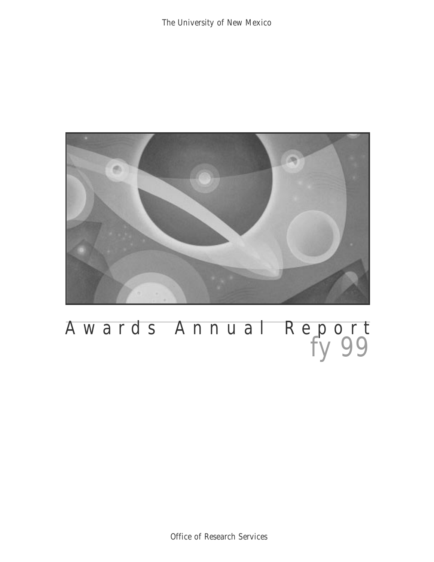

## Awards Annual Report *fy 99*

Office of Research Services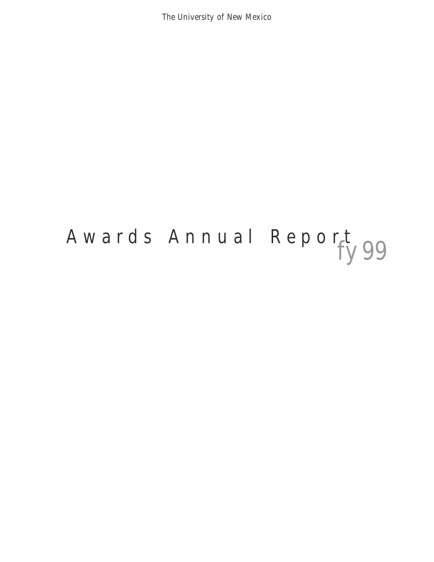The University of New Mexico

# Awards Annual Report 99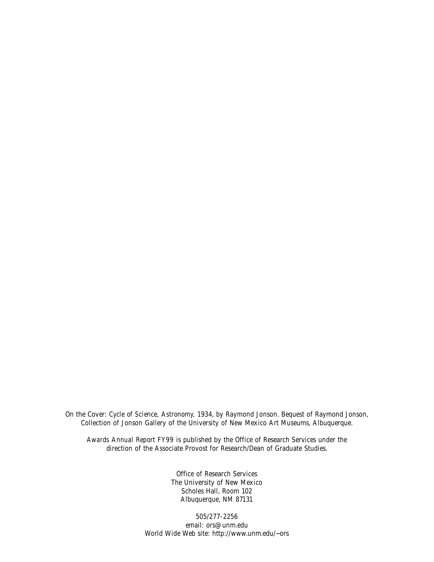On the Cover: *Cycle of Science, Astronomy,* 1934, by Raymond Jonson. Bequest of Raymond Jonson, Collection of Jonson Gallery of the University of New Mexico Art Museums, Albuquerque.

*Awards Annual Report FY99* is published by the Office of Research Services under the direction of the Associate Provost for Research/Dean of Graduate Studies.

> Office of Research Services The University of New Mexico Scholes Hall, Room 102 Albuquerque, NM 87131

505/277-2256 email: ors@unm.edu World Wide Web site: http://www.unm.edu/~ors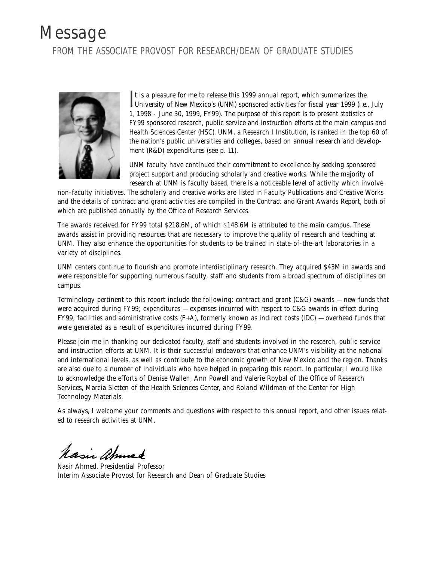#### Message FROM THE ASSOCIATE PROVOST FOR RESEARCH/DEAN OF GRADUATE STUDIES



It is a pleasure for me to release this 1999 annual report, which summarizes the University of New Mexico's (UNM) sponsored activities for fiscal year 1999 (i.e., July t is a pleasure for me to release this 1999 annual report, which summarizes the 1, 1998 - June 30, 1999, FY99). The purpose of this report is to present statistics of FY99 sponsored research, public service and instruction efforts at the main campus and Health Sciences Center (HSC). UNM, a Research I Institution, is ranked in the top 60 of the nation's public universities and colleges, based on annual research and development (R&D) expenditures (see p. 11).

UNM faculty have continued their commitment to excellence by seeking sponsored project support and producing scholarly and creative works. While the majority of research at UNM is faculty based, there is a noticeable level of activity which involve

non-faculty initiatives. The scholarly and creative works are listed in *Faculty Publications and Creative Works* and the details of contract and grant activities are compiled in the *Contract and Grant Awards Report,* both of which are published annually by the Office of Research Services.

The awards received for FY99 total \$218.6M, of which \$148.6M is attributed to the main campus. These awards assist in providing resources that are necessary to improve the quality of research and teaching at UNM. They also enhance the opportunities for students to be trained in state-of-the-art laboratories in a variety of disciplines.

UNM centers continue to flourish and promote interdisciplinary research. They acquired \$43M in awards and were responsible for supporting numerous faculty, staff and students from a broad spectrum of disciplines on campus.

Terminology pertinent to this report include the following: *contract and grant* (C&G) awards — new funds that were acquired during FY99; *expenditures* — expenses incurred with respect to C&G awards in effect during FY99; *facilities and administrative costs* (F+A), formerly known as indirect costs (IDC) — overhead funds that were generated as a result of expenditures incurred during FY99.

Please join me in thanking our dedicated faculty, staff and students involved in the research, public service and instruction efforts at UNM. It is their successful endeavors that enhance UNM's visibility at the national and international levels, as well as contribute to the economic growth of New Mexico and the region. Thanks are also due to a number of individuals who have helped in preparing this report. In particular, I would like to acknowledge the efforts of Denise Wallen, Ann Powell and Valerie Roybal of the Office of Research Services, Marcia Sletten of the Health Sciences Center, and Roland Wildman of the Center for High Technology Materials.

As always, I welcome your comments and questions with respect to this annual report, and other issues related to research activities at UNM.

Masic ahmed

Nasir Ahmed, Presidential Professor Interim Associate Provost for Research and Dean of Graduate Studies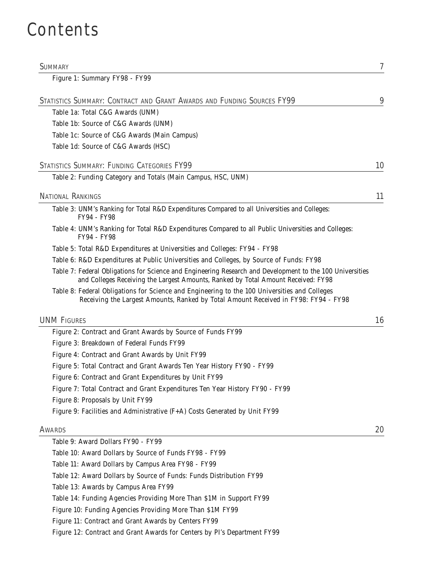#### Contents

| <b>SUMMARY</b>                                                                                                                                                                                 | 7  |
|------------------------------------------------------------------------------------------------------------------------------------------------------------------------------------------------|----|
| Figure 1: Summary FY98 - FY99                                                                                                                                                                  |    |
| STATISTICS SUMMARY: CONTRACT AND GRANT AWARDS AND FUNDING SOURCES FY99                                                                                                                         | 9  |
| Table 1a: Total C&G Awards (UNM)                                                                                                                                                               |    |
| Table 1b: Source of C&G Awards (UNM)                                                                                                                                                           |    |
| Table 1c: Source of C&G Awards (Main Campus)                                                                                                                                                   |    |
| Table 1d: Source of C&G Awards (HSC)                                                                                                                                                           |    |
| STATISTICS SUMMARY: FUNDING CATEGORIES FY99                                                                                                                                                    | 10 |
| Table 2: Funding Category and Totals (Main Campus, HSC, UNM)                                                                                                                                   |    |
| <b>NATIONAL RANKINGS</b>                                                                                                                                                                       | 11 |
| Table 3: UNM's Ranking for Total R&D Expenditures Compared to all Universities and Colleges:<br>FY94 - FY98                                                                                    |    |
| Table 4: UNM's Ranking for Total R&D Expenditures Compared to all Public Universities and Colleges:<br>FY94 - FY98                                                                             |    |
| Table 5: Total R&D Expenditures at Universities and Colleges: FY94 - FY98                                                                                                                      |    |
| Table 6: R&D Expenditures at Public Universities and Colleges, by Source of Funds: FY98                                                                                                        |    |
| Table 7: Federal Obligations for Science and Engineering Research and Development to the 100 Universities<br>and Colleges Receiving the Largest Amounts, Ranked by Total Amount Received: FY98 |    |
| Table 8: Federal Obligations for Science and Engineering to the 100 Universities and Colleges<br>Receiving the Largest Amounts, Ranked by Total Amount Received in FY98: FY94 - FY98           |    |
| <b>UNM FIGURES</b>                                                                                                                                                                             | 16 |
| Figure 2: Contract and Grant Awards by Source of Funds FY99                                                                                                                                    |    |
| Figure 3: Breakdown of Federal Funds FY99                                                                                                                                                      |    |
| Figure 4: Contract and Grant Awards by Unit FY99                                                                                                                                               |    |
| Figure 5: Total Contract and Grant Awards Ten Year History FY90 - FY99                                                                                                                         |    |
| Figure 6: Contract and Grant Expenditures by Unit FY99                                                                                                                                         |    |
| Figure 7: Total Contract and Grant Expenditures Ten Year History FY90 - FY99                                                                                                                   |    |
| Figure 8: Proposals by Unit FY99                                                                                                                                                               |    |
| Figure 9: Facilities and Administrative (F+A) Costs Generated by Unit FY99                                                                                                                     |    |
| <b>AWARDS</b>                                                                                                                                                                                  | 20 |
| Table 9: Award Dollars FY90 - FY99                                                                                                                                                             |    |
| Table 10: Award Dollars by Source of Funds FY98 - FY99                                                                                                                                         |    |
| Table 11: Award Dollars by Campus Area FY98 - FY99                                                                                                                                             |    |
| Table 12: Award Dollars by Source of Funds: Funds Distribution FY99                                                                                                                            |    |
| Table 13: Awards by Campus Area FY99                                                                                                                                                           |    |
| Table 14: Funding Agencies Providing More Than \$1M in Support FY99                                                                                                                            |    |
| Figure 10: Funding Agencies Providing More Than \$1M FY99                                                                                                                                      |    |
| Figure 11: Contract and Grant Awards by Centers FY99                                                                                                                                           |    |

Figure 12: Contract and Grant Awards for Centers by PI's Department FY99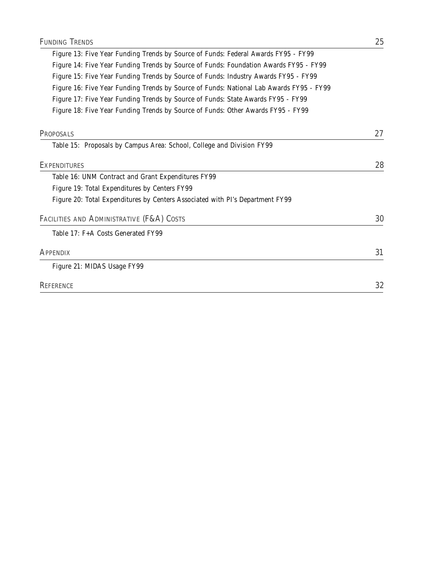|           | Table 15: Proposals by Campus Area: School, College and Division FY99                   |    |
|-----------|-----------------------------------------------------------------------------------------|----|
| PROPOSALS |                                                                                         | 27 |
|           | Figure 18: Five Year Funding Trends by Source of Funds: Other Awards FY95 - FY99        |    |
|           |                                                                                         |    |
|           | Figure 17: Five Year Funding Trends by Source of Funds: State Awards FY95 - FY99        |    |
|           | Figure 16: Five Year Funding Trends by Source of Funds: National Lab Awards FY95 - FY99 |    |
|           | Figure 15: Five Year Funding Trends by Source of Funds: Industry Awards FY95 - FY99     |    |
|           | Figure 14: Five Year Funding Trends by Source of Funds: Foundation Awards FY95 - FY99   |    |
|           | Figure 13: Five Year Funding Trends by Source of Funds: Federal Awards FY95 - FY99      |    |

| <b>EXPENDITURES</b>                                                           | 28 |
|-------------------------------------------------------------------------------|----|
| Table 16: UNM Contract and Grant Expenditures FY99                            |    |
| Figure 19: Total Expenditures by Centers FY99                                 |    |
| Figure 20: Total Expenditures by Centers Associated with PI's Department FY99 |    |
| FACILITIES AND ADMINISTRATIVE (F&A) COSTS                                     | 30 |
| Table 17: F+A Costs Generated FY99                                            |    |
| <b>APPENDIX</b>                                                               | 31 |
| Figure 21: MIDAS Usage FY99                                                   |    |
| <b>REFERENCE</b>                                                              | 32 |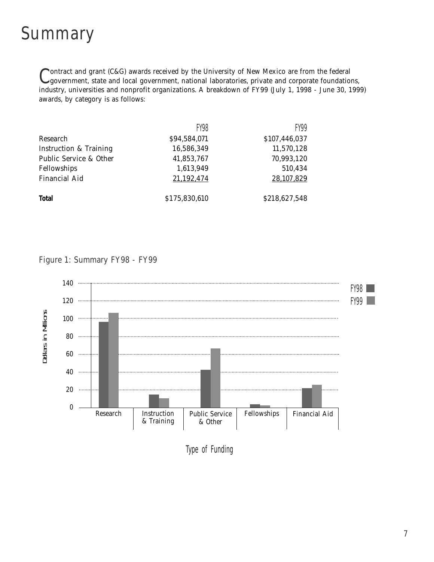#### Summary

Contract and grant (C&G) awards received by the University of New Mexico are from the federal government, state and local government, national laboratories, private and corporate foundations, industry, universities and nonprofit organizations. A breakdown of FY99 (July 1, 1998 - June 30, 1999) awards, by category is as follows:

|                                   | <b>FY98</b>   | FY99          |
|-----------------------------------|---------------|---------------|
| Research                          | \$94,584,071  | \$107,446,037 |
| <b>Instruction &amp; Training</b> | 16,586,349    | 11,570,128    |
| Public Service & Other            | 41,853,767    | 70,993,120    |
| Fellowships                       | 1,613,949     | 510,434       |
| <b>Financial Aid</b>              | 21,192,474    | 28,107,829    |
| <b>Total</b>                      | \$175,830,610 | \$218,627,548 |

#### Figure 1: Summary FY98 - FY99



Type of Funding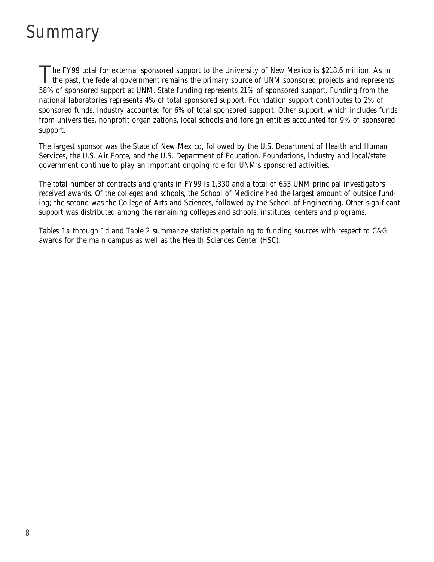## Summary

The FY99 total for external sponsored support to the University of New Mexico is \$218.6 million. As in<br>the past, the federal government remains the primary source of UNM sponsored projects and represents 58% of sponsored support at UNM. State funding represents 21% of sponsored support. Funding from the national laboratories represents 4% of total sponsored support. Foundation support contributes to 2% of sponsored funds. Industry accounted for 6% of total sponsored support. Other support, which includes funds from universities, nonprofit organizations, local schools and foreign entities accounted for 9% of sponsored support.

The largest sponsor was the State of New Mexico, followed by the U.S. Department of Health and Human Services, the U.S. Air Force, and the U.S. Department of Education. Foundations, industry and local/state government continue to play an important ongoing role for UNM's sponsored activities.

The total number of contracts and grants in FY99 is 1,330 and a total of 653 UNM principal investigators received awards. Of the colleges and schools, the School of Medicine had the largest amount of outside funding; the second was the College of Arts and Sciences, followed by the School of Engineering. Other significant support was distributed among the remaining colleges and schools, institutes, centers and programs.

*Tables 1a* through *1d* and *Table 2* summarize statistics pertaining to funding sources with respect to C&G awards for the main campus as well as the Health Sciences Center (HSC).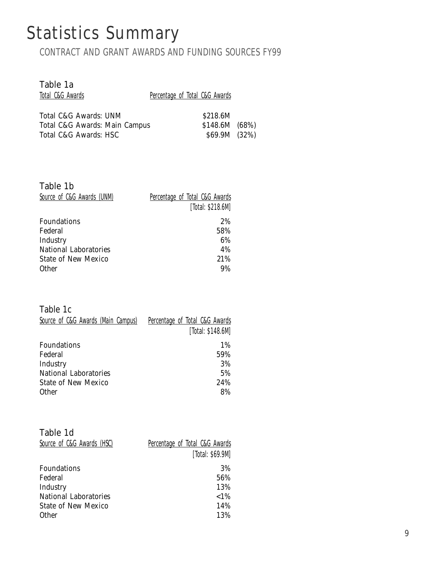## Statistics Summary

CONTRACT AND GRANT AWARDS AND FUNDING SOURCES FY99

| Table 1a                      |                                |  |
|-------------------------------|--------------------------------|--|
| Total C&G Awards              | Percentage of Total C&G Awards |  |
|                               |                                |  |
| Total C&G Awards: UNM         | \$218.6M                       |  |
| Total C&G Awards: Main Campus | \$148.6M (68%)                 |  |
| Total C&G Awards: HSC         | \$69.9M (32%)                  |  |

| Table 1b<br>Source of C&G Awards (UNM) | Percentage of Total C&G Awards<br>[Total: \$218.6M] |
|----------------------------------------|-----------------------------------------------------|
| Foundations                            | 2%                                                  |
| Federal                                | 58%                                                 |
| Industry                               | 6%                                                  |
| <b>National Laboratories</b>           | 4%                                                  |
| State of New Mexico                    | 21%                                                 |
| <b>Other</b>                           | 9%                                                  |

Table 1c

| Source of C&G Awards (Main Campus) | Percentage of Total C&G Awards |
|------------------------------------|--------------------------------|
|                                    | [Total: \$148.6M]              |
| Foundations                        | $1\%$                          |
| Federal                            | 59%                            |
| Industry                           | 3%                             |
| <b>National Laboratories</b>       | 5%                             |
| <b>State of New Mexico</b>         | 24%                            |
| <b>Other</b>                       | 8%                             |

| Percentage of Total C&G Awards |
|--------------------------------|
| [Total: \$69.9M]               |
| 3%                             |
| 56%                            |
| 13%                            |
| ${<}1\%$                       |
| 14%                            |
| 13%                            |
|                                |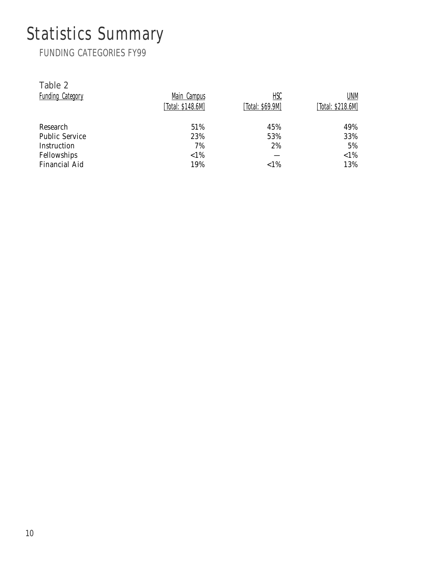# Statistics Summary

FUNDING CATEGORIES FY99

| Table 2                 |                   |                  |                   |
|-------------------------|-------------------|------------------|-------------------|
| <b>Funding Category</b> | Main Campus       | HSC              | UNM               |
|                         | [Total: \$148.6M] | [Total: \$69.9M] | [Total: \$218.6M] |
| Research                | 51%               | 45%              | 49%               |
| <b>Public Service</b>   | 23%               | 53%              | 33%               |
| Instruction             | 7%                | 2%               | 5%                |
| Fellowships             | ${<}1\%$          |                  | ${<}1\%$          |
| <b>Financial Aid</b>    | 19%               | ${<}1\%$         | 13%               |
|                         |                   |                  |                   |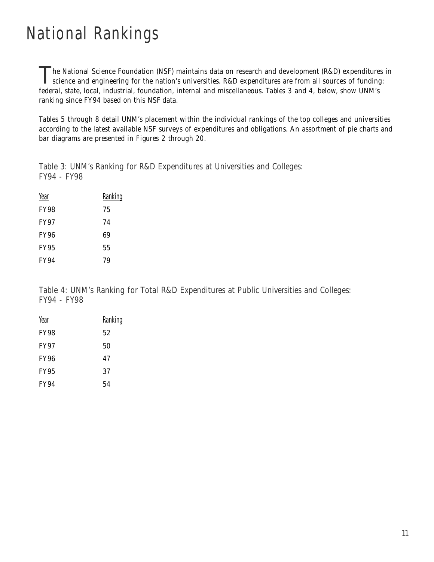# National Rankings

The National Science Foundation (NSF) maintains data on research and development (R&D) expenditures in science and engineering for the nation's universities. R&D expenditures are from all sources of funding: federal, state, local, industrial, foundation, internal and miscellaneous. *Tables 3* and *4,* below, show UNM's ranking since FY94 based on this NSF data.

*Tables 5* through *8* detail UNM's placement within the individual rankings of the top colleges and universities according to the latest available NSF surveys of expenditures and obligations. An assortment of pie charts and bar diagrams are presented in *Figures 2* through *20*.

Table 3: UNM's Ranking for R&D Expenditures at Universities and Colleges: FY94 - FY98

| Year        | <u>Ranking</u> |
|-------------|----------------|
| <b>FY98</b> | 75             |
| <b>FY97</b> | 74             |
| <b>FY96</b> | 69             |
| <b>FY95</b> | 55             |
| <b>FY94</b> | 79             |
|             |                |

Table 4: UNM's Ranking for Total R&D Expenditures at Public Universities and Colleges: FY94 - FY98

| Year        | Ranking |
|-------------|---------|
| <b>FY98</b> | 52      |
| <b>FY97</b> | 50      |
| <b>FY96</b> | 47      |
| <b>FY95</b> | 37      |
| <b>FY94</b> | 54      |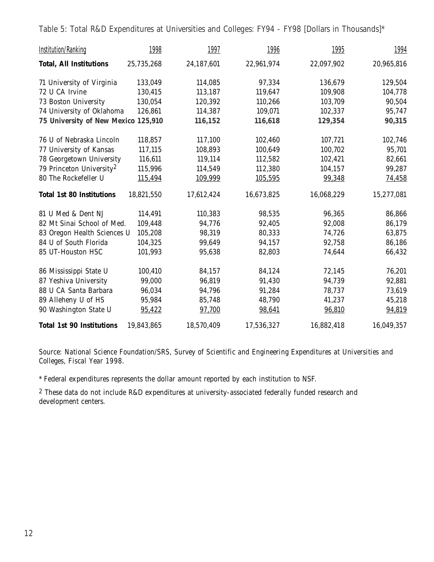Table 5: Total R&D Expenditures at Universities and Colleges: FY94 - FY98 [Dollars in Thousands]\*

| <b>Institution/Ranking</b>           | 1998       | 1997       | 1996       | 1995       | 1994       |
|--------------------------------------|------------|------------|------------|------------|------------|
| <b>Total, All Institutions</b>       | 25,735,268 | 24,187,601 | 22,961,974 | 22,097,902 | 20,965,816 |
| 71 University of Virginia            | 133,049    | 114,085    | 97,334     | 136,679    | 129,504    |
| 72 U CA Irvine                       | 130,415    | 113,187    | 119,647    | 109,908    | 104,778    |
| 73 Boston University                 | 130,054    | 120,392    | 110,266    | 103,709    | 90,504     |
| 74 University of Oklahoma            | 126,861    | 114,387    | 109,071    | 102,337    | 95,747     |
| 75 University of New Mexico 125,910  |            | 116,152    | 116,618    | 129,354    | 90,315     |
| 76 U of Nebraska Lincoln             | 118,857    | 117,100    | 102,460    | 107,721    | 102,746    |
| 77 University of Kansas              | 117,115    | 108,893    | 100,649    | 100,702    | 95,701     |
| 78 Georgetown University             | 116,611    | 119,114    | 112,582    | 102,421    | 82,661     |
| 79 Princeton University <sup>2</sup> | 115,996    | 114,549    | 112,380    | 104,157    | 99,287     |
| 80 The Rockefeller U                 | 115,494    | 109,999    | 105,595    | 99,348     | 74,458     |
| <b>Total 1st 80 Institutions</b>     | 18,821,550 | 17,612,424 | 16,673,825 | 16,068,229 | 15,277,081 |
| 81 U Med & Dent NJ                   | 114,491    | 110,383    | 98,535     | 96,365     | 86,866     |
| 82 Mt Sinai School of Med.           | 109,448    | 94,776     | 92,405     | 92,008     | 86,179     |
| 83 Oregon Health Sciences U          | 105,208    | 98,319     | 80,333     | 74,726     | 63,875     |
| 84 U of South Florida                | 104,325    | 99,649     | 94,157     | 92,758     | 86,186     |
| 85 UT-Houston HSC                    | 101,993    | 95,638     | 82,803     | 74,644     | 66,432     |
| 86 Mississippi State U               | 100,410    | 84,157     | 84,124     | 72,145     | 76,201     |
| 87 Yeshiva University                | 99,000     | 96,819     | 91,430     | 94,739     | 92,881     |
| 88 U CA Santa Barbara                | 96,034     | 94,796     | 91,284     | 78,737     | 73,619     |
| 89 Alleheny U of HS                  | 95,984     | 85,748     | 48,790     | 41,237     | 45,218     |
| 90 Washington State U                | 95,422     | 97,700     | 98,641     | 96,810     | 94,819     |
| <b>Total 1st 90 Institutions</b>     | 19,843,865 | 18,570,409 | 17,536,327 | 16,882,418 | 16,049,357 |

*Source: National Science Foundation/SRS, Survey of Scientific and Engineering Expenditures at Universities and Colleges, Fiscal Year 1998.*

\* Federal expenditures represents the dollar amount reported by each institution to NSF.

2 These data do not include R&D expenditures at university-associated federally funded research and development centers.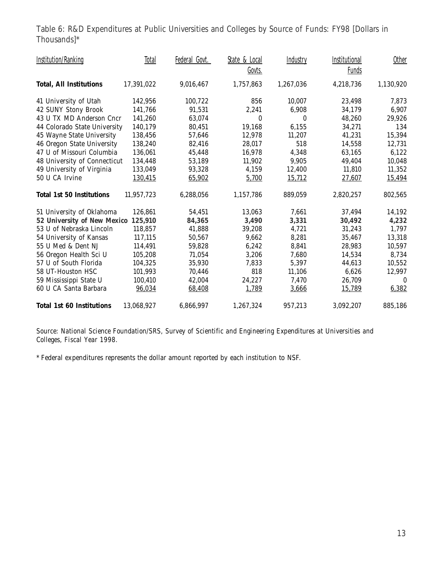Table 6: R&D Expenditures at Public Universities and Colleges by Source of Funds: FY98 [Dollars in Thousands]\*

| <b>Institution/Ranking</b>       | <b>Total</b> | Federal Govt. | State & Local | <b>Industry</b> | Institutional | Other     |
|----------------------------------|--------------|---------------|---------------|-----------------|---------------|-----------|
|                                  |              |               | Govts.        |                 | <b>Funds</b>  |           |
| <b>Total, All Institutions</b>   | 17,391,022   | 9,016,467     | 1,757,863     | 1,267,036       | 4,218,736     | 1,130,920 |
| 41 University of Utah            | 142,956      | 100,722       | 856           | 10,007          | 23,498        | 7,873     |
| 42 SUNY Stony Brook              | 141,766      | 91,531        | 2,241         | 6,908           | 34,179        | 6,907     |
| 43 U TX MD Anderson Cncr         | 141,260      | 63,074        | $\mathbf{0}$  | $\theta$        | 48,260        | 29,926    |
| 44 Colorado State University     | 140,179      | 80,451        | 19,168        | 6,155           | 34,271        | 134       |
| 45 Wayne State University        | 138,456      | 57,646        | 12,978        | 11,207          | 41,231        | 15,394    |
| 46 Oregon State University       | 138,240      | 82,416        | 28,017        | 518             | 14,558        | 12,731    |
| 47 U of Missouri Columbia        | 136,061      | 45,448        | 16,978        | 4,348           | 63,165        | 6,122     |
| 48 University of Connecticut     | 134,448      | 53,189        | 11,902        | 9,905           | 49,404        | 10,048    |
| 49 University of Virginia        | 133,049      | 93,328        | 4,159         | 12,400          | 11,810        | 11,352    |
| 50 U CA Irvine                   | 130,415      | 65,902        | 5,700         | 15,712          | 27,607        | 15,494    |
| <b>Total 1st 50 Institutions</b> | 11,957,723   | 6,288,056     | 1,157,786     | 889,059         | 2,820,257     | 802,565   |
| 51 University of Oklahoma        | 126,861      | 54,451        | 13,063        | 7,661           | 37,494        | 14,192    |
| 52 University of New Mexico      | 125,910      | 84,365        | 3,490         | 3,331           | 30,492        | 4,232     |
| 53 U of Nebraska Lincoln         | 118,857      | 41,888        | 39,208        | 4,721           | 31,243        | 1,797     |
| 54 University of Kansas          | 117,115      | 50,567        | 9,662         | 8,281           | 35,467        | 13,318    |
| 55 U Med & Dent NJ               | 114,491      | 59,828        | 6,242         | 8,841           | 28,983        | 10,597    |
| 56 Oregon Health Sci U           | 105,208      | 71,054        | 3,206         | 7,680           | 14,534        | 8,734     |
| 57 U of South Florida            | 104,325      | 35,930        | 7,833         | 5,397           | 44,613        | 10,552    |
| 58 UT-Houston HSC                | 101,993      | 70,446        | 818           | 11,106          | 6,626         | 12,997    |
| 59 Mississippi State U           | 100,410      | 42,004        | 24,227        | 7,470           | 26,709        | $\bf{0}$  |
| 60 U CA Santa Barbara            | 96,034       | 68,408        | 1,789         | 3,666           | 15,789        | 6,382     |
| <b>Total 1st 60 Institutions</b> | 13,068,927   | 6,866,997     | 1,267,324     | 957,213         | 3,092,207     | 885,186   |

*Source: National Science Foundation/SRS, Survey of Scientific and Engineering Expenditures at Universities and Colleges, Fiscal Year 1998.*

\* Federal expenditures represents the dollar amount reported by each institution to NSF.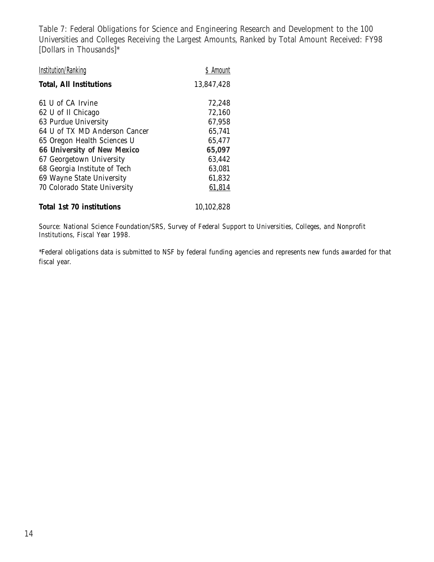Table 7: Federal Obligations for Science and Engineering Research and Development to the 100 Universities and Colleges Receiving the Largest Amounts, Ranked by Total Amount Received: FY98 [Dollars in Thousands]\*

| <b>Institution/Ranking</b>     | \$ Amount  |
|--------------------------------|------------|
| <b>Total, All Institutions</b> | 13,847,428 |
| 61 U of CA Irvine              | 72,248     |
| 62 U of Il Chicago             | 72,160     |
| 63 Purdue University           | 67,958     |
| 64 U of TX MD Anderson Cancer  | 65,741     |
| 65 Oregon Health Sciences U    | 65,477     |
| 66 University of New Mexico    | 65,097     |
| 67 Georgetown University       | 63,442     |
| 68 Georgia Institute of Tech   | 63,081     |
| 69 Wayne State University      | 61,832     |
| 70 Colorado State University   | 61,814     |
| Total 1st 70 institutions      | 10,102,828 |

*Source: National Science Foundation/SRS, Survey of Federal Support to Universities, Colleges, and Nonprofit Institutions, Fiscal Year 1998.*

\*Federal obligations data is submitted to NSF by federal funding agencies and represents new funds awarded for that fiscal year.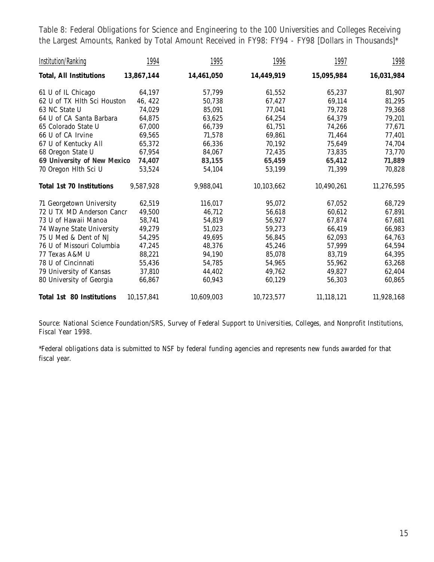Table 8: Federal Obligations for Science and Engineering to the 100 Universities and Colleges Receiving the Largest Amounts, Ranked by Total Amount Received in FY98: FY94 - FY98 [Dollars in Thousands]\*

| <b>Institution/Ranking</b>       | 1994       | 1995       | 1996       | 1997       | 1998       |
|----------------------------------|------------|------------|------------|------------|------------|
| <b>Total, All Institutions</b>   | 13,867,144 | 14,461,050 | 14,449,919 | 15,095,984 | 16,031,984 |
| 61 U of IL Chicago               | 64,197     | 57,799     | 61,552     | 65,237     | 81,907     |
| 62 U of TX Hlth Sci Houston      | 46, 422    | 50,738     | 67,427     | 69,114     | 81,295     |
| 63 NC State U                    | 74,029     | 85,091     | 77,041     | 79,728     | 79,368     |
| 64 U of CA Santa Barbara         | 64,875     | 63,625     | 64,254     | 64,379     | 79,201     |
| 65 Colorado State U              | 67,000     | 66,739     | 61,751     | 74,266     | 77,671     |
| 66 U of CA Irvine                | 69,565     | 71,578     | 69,861     | 71,464     | 77,401     |
| 67 U of Kentucky All             | 65,372     | 66,336     | 70,192     | 75,649     | 74,704     |
| 68 Oregon State U                | 67,954     | 84,067     | 72,435     | 73,835     | 73,770     |
| 69 University of New Mexico      | 74,407     | 83,155     | 65,459     | 65,412     | 71,889     |
| 70 Oregon Hlth Sci U             | 53,524     | 54,104     | 53,199     | 71,399     | 70,828     |
| <b>Total 1st 70 Institutions</b> | 9,587,928  | 9,988,041  | 10,103,662 | 10,490,261 | 11,276,595 |
| 71 Georgetown University         | 62,519     | 116,017    | 95,072     | 67,052     | 68,729     |
| 72 U TX MD Anderson Cancr        | 49,500     | 46,712     | 56,618     | 60,612     | 67,891     |
| 73 U of Hawaii Manoa             | 58,741     | 54,819     | 56,927     | 67,874     | 67,681     |
| 74 Wayne State University        | 49,279     | 51,023     | 59,273     | 66,419     | 66,983     |
| 75 U Med & Dent of NJ            | 54,295     | 49,695     | 56,845     | 62,093     | 64,763     |
| 76 U of Missouri Columbia        | 47,245     | 48,376     | 45,246     | 57,999     | 64,594     |
| 77 Texas A&M U                   | 88,221     | 94,190     | 85,078     | 83,719     | 64,395     |
| 78 U of Cincinnati               | 55,436     | 54,785     | 54,965     | 55,962     | 63,268     |
| 79 University of Kansas          | 37,810     | 44,402     | 49,762     | 49,827     | 62,404     |
| 80 University of Georgia         | 66,867     | 60,943     | 60,129     | 56,303     | 60,865     |
| Total 1st 80 Institutions        | 10,157,841 | 10,609,003 | 10,723,577 | 11,118,121 | 11,928,168 |

*Source: National Science Foundation/SRS, Survey of Federal Support to Universities, Colleges, and Nonprofit Institutions, Fiscal Year 1998.*

\*Federal obligations data is submitted to NSF by federal funding agencies and represents new funds awarded for that fiscal year.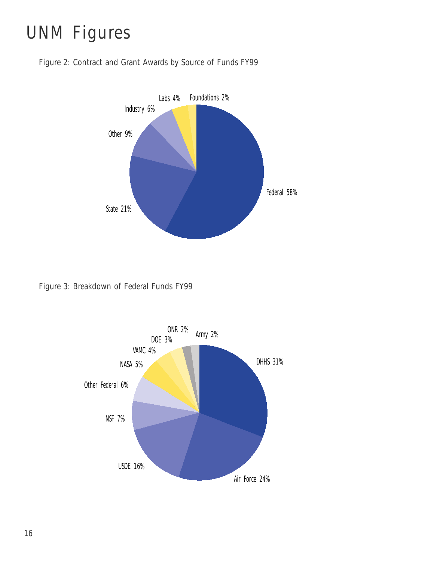# UNM Figures





Figure 3: Breakdown of Federal Funds FY99

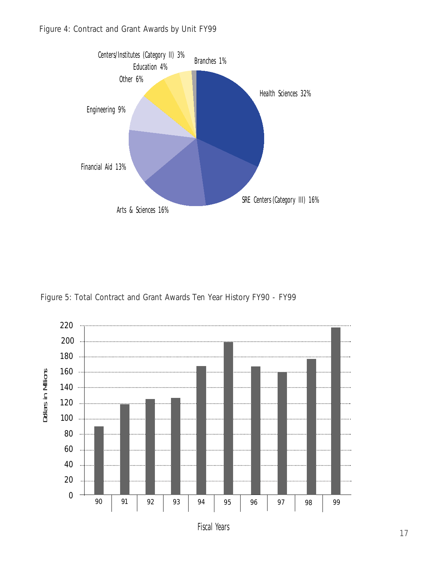

Figure 5: Total Contract and Grant Awards Ten Year History FY90 - FY99



Fiscal Years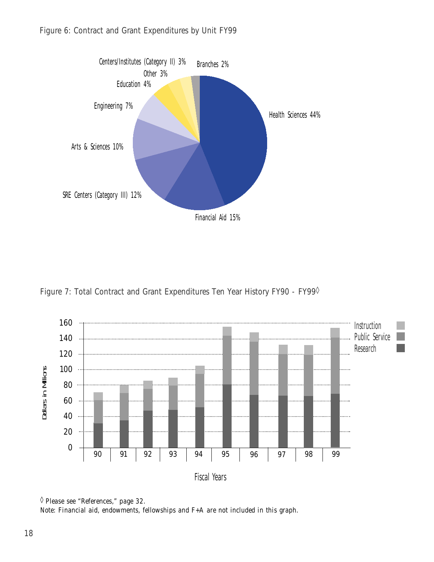

Figure 7: Total Contract and Grant Expenditures Ten Year History FY90 - FY99<sup>0</sup>



<sup>◊</sup> *Please see "References," page 32.*

*Note: Financial aid, endowments, fellowships and F+A are not included in this graph.*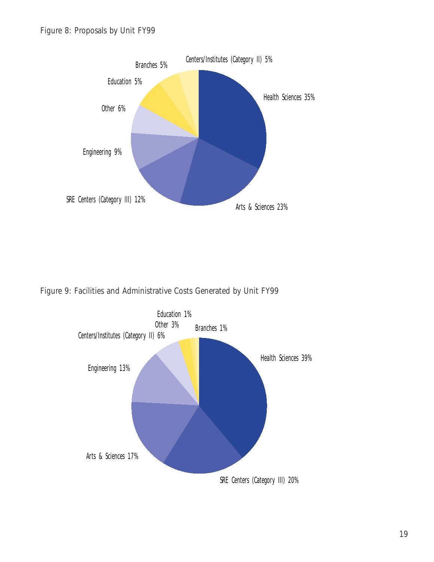

Figure 9: Facilities and Administrative Costs Generated by Unit FY99

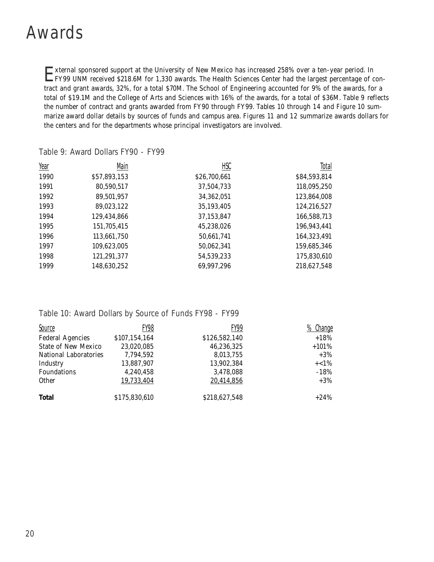#### Awards

External sponsored support at the University of New Mexico has increased 258% over a ten-year period. In FY99 UNM received \$218.6M for 1,330 awards. The Health Sciences Center had the largest percentage of contract and grant awards, 32%, for a total \$70M. The School of Engineering accounted for 9% of the awards, for a total of \$19.1M and the College of Arts and Sciences with 16% of the awards, for a total of \$36M. *Table 9* reflects the number of contract and grants awarded from FY90 through FY99. *Tables 10* through *14* and *Figure 10* summarize award dollar details by sources of funds and campus area. *Figures 11* and *12* summarize awards dollars for the centers and for the departments whose principal investigators are involved.

| Year | Main         | HSC          | Total        |
|------|--------------|--------------|--------------|
| 1990 | \$57,893,153 | \$26,700,661 | \$84,593,814 |
| 1991 | 80,590,517   | 37,504,733   | 118,095,250  |
| 1992 | 89,501,957   | 34,362,051   | 123,864,008  |
| 1993 | 89,023,122   | 35,193,405   | 124,216,527  |
| 1994 | 129,434,866  | 37,153,847   | 166,588,713  |
| 1995 | 151,705,415  | 45,238,026   | 196,943,441  |
| 1996 | 113,661,750  | 50,661,741   | 164,323,491  |
| 1997 | 109,623,005  | 50,062,341   | 159,685,346  |
| 1998 | 121,291,377  | 54,539,233   | 175,830,610  |
| 1999 | 148,630,252  | 69,997,296   | 218,627,548  |

Table 9: Award Dollars FY90 - FY99

#### Table 10: Award Dollars by Source of Funds FY98 - FY99

| Source                     | FY98          | FY99          | <u>Change</u> |
|----------------------------|---------------|---------------|---------------|
| <b>Federal Agencies</b>    | \$107,154,164 | \$126,582,140 | $+18%$        |
| <b>State of New Mexico</b> | 23,020,085    | 46,236,325    | $+101%$       |
| National Laboratories      | 7,794,592     | 8,013,755     | $+3\%$        |
| Industry                   | 13,887,907    | 13,902,384    | $+<1\%$       |
| Foundations                | 4,240,458     | 3,478,088     | $-18%$        |
| <b>Other</b>               | 19,733,404    | 20,414,856    | $+3\%$        |
| <b>Total</b>               | \$175,830,610 | \$218,627,548 | $+24%$        |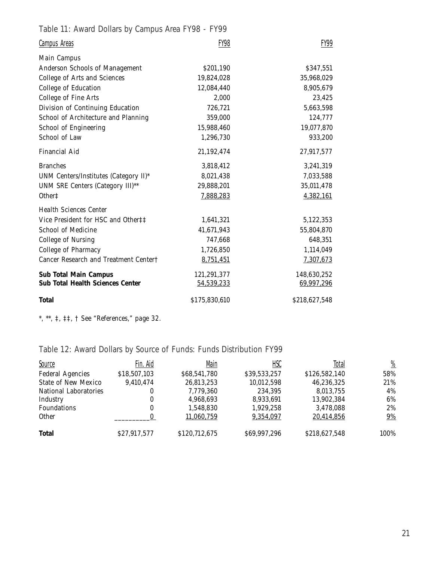Table 11: Award Dollars by Campus Area FY98 - FY99

| <b>Campus Areas</b>                     | <b>FY98</b>   | FY99          |
|-----------------------------------------|---------------|---------------|
| <b>Main Campus</b>                      |               |               |
| Anderson Schools of Management          | \$201,190     | \$347,551     |
| College of Arts and Sciences            | 19,824,028    | 35,968,029    |
| <b>College of Education</b>             | 12,084,440    | 8,905,679     |
| College of Fine Arts                    | 2,000         | 23,425        |
| Division of Continuing Education        | 726,721       | 5,663,598     |
| School of Architecture and Planning     | 359,000       | 124,777       |
| School of Engineering                   | 15,988,460    | 19,077,870    |
| School of Law                           | 1,296,730     | 933,200       |
| Financial Aid                           | 21,192,474    | 27,917,577    |
| <b>Branches</b>                         | 3,818,412     | 3,241,319     |
| UNM Centers/Institutes (Category II)*   | 8,021,438     | 7,033,588     |
| UNM SRE Centers (Category III)**        | 29,888,201    | 35,011,478    |
| Other <sup>+</sup>                      | 7,888,283     | 4,382,161     |
| <b>Health Sciences Center</b>           |               |               |
| Vice President for HSC and Other##      | 1,641,321     | 5,122,353     |
| School of Medicine                      | 41,671,943    | 55,804,870    |
| College of Nursing                      | 747,668       | 648,351       |
| College of Pharmacy                     | 1,726,850     | 1,114,049     |
| Cancer Research and Treatment Center†   | 8,751,451     | 7,307,673     |
| <b>Sub Total Main Campus</b>            | 121,291,377   | 148,630,252   |
| <b>Sub Total Health Sciences Center</b> | 54,539,233    | 69,997,296    |
| <b>Total</b>                            | \$175,830,610 | \$218,627,548 |

*\*, \*\*, ‡, ‡‡, † See "References," page 32.*

Table 12: Award Dollars by Source of Funds: Funds Distribution FY99

| <b>Source</b>              | Fin. Aid     | Main          | <b>HSC</b>   | Total         | $\frac{\%}{\frac{1}{2}}$ |
|----------------------------|--------------|---------------|--------------|---------------|--------------------------|
| <b>Federal Agencies</b>    | \$18,507,103 | \$68,541,780  | \$39,533,257 | \$126,582,140 | 58%                      |
| <b>State of New Mexico</b> | 9,410,474    | 26,813,253    | 10,012,598   | 46,236,325    | 21%                      |
| National Laboratories      | 0            | 7,779,360     | 234.395      | 8.013.755     | 4%                       |
| Industry                   | 0            | 4,968,693     | 8,933,691    | 13,902,384    | 6%                       |
| <b>Foundations</b>         | 0            | 1,548,830     | 1,929,258    | 3,478,088     | 2%                       |
| <b>Other</b>               |              | 11,060,759    | 9,354,097    | 20,414,856    | $9\%$                    |
| <b>Total</b>               | \$27,917,577 | \$120,712,675 | \$69,997,296 | \$218,627,548 | 100%                     |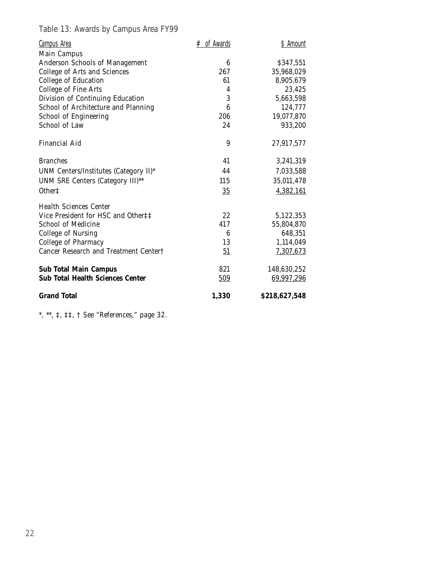Table 13: Awards by Campus Area FY99

| <b>Campus Area</b>                      | $#$ of Awards | \$ Amount     |
|-----------------------------------------|---------------|---------------|
| <b>Main Campus</b>                      |               |               |
| <b>Anderson Schools of Management</b>   | 6             | \$347,551     |
| <b>College of Arts and Sciences</b>     | 267           | 35,968,029    |
| College of Education                    | 61            | 8,905,679     |
| College of Fine Arts                    | 4             | 23,425        |
| Division of Continuing Education        | 3             | 5,663,598     |
| School of Architecture and Planning     | 6             | 124,777       |
| School of Engineering                   | 206           | 19,077,870    |
| School of Law                           | 24            | 933,200       |
| <b>Financial Aid</b>                    | 9             | 27,917,577    |
| <b>Branches</b>                         | 41            | 3,241,319     |
| UNM Centers/Institutes (Category II)*   | 44            | 7,033,588     |
| UNM SRE Centers (Category III)**        | 115           | 35,011,478    |
| Other <sup><math>\ddagger</math></sup>  | 35            | 4,382,161     |
| <b>Health Sciences Center</b>           |               |               |
| Vice President for HSC and Other‡‡      | 22            | 5,122,353     |
| <b>School of Medicine</b>               | 417           | 55,804,870    |
| <b>College of Nursing</b>               | 6             | 648,351       |
| <b>College of Pharmacy</b>              | 13            | 1,114,049     |
| Cancer Research and Treatment Center†   | 51            | 7,307,673     |
| <b>Sub Total Main Campus</b>            | 821           | 148,630,252   |
| <b>Sub Total Health Sciences Center</b> | 509           | 69,997,296    |
| <b>Grand Total</b>                      | 1,330         | \$218,627,548 |

*\*, \*\*, ‡, ‡‡, † See "References," page 32.*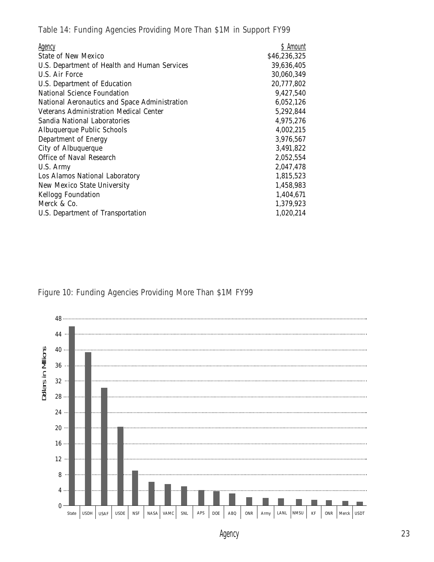Table 14: Funding Agencies Providing More Than \$1M in Support FY99

| Agency                                        | \$ Amount    |
|-----------------------------------------------|--------------|
| State of New Mexico                           | \$46,236,325 |
| U.S. Department of Health and Human Services  | 39,636,405   |
| U.S. Air Force                                | 30,060,349   |
| U.S. Department of Education                  | 20,777,802   |
| National Science Foundation                   | 9,427,540    |
| National Aeronautics and Space Administration | 6,052,126    |
| <b>Veterans Administration Medical Center</b> | 5,292,844    |
| Sandia National Laboratories                  | 4,975,276    |
| Albuquerque Public Schools                    | 4,002,215    |
| Department of Energy                          | 3,976,567    |
| City of Albuquerque                           | 3,491,822    |
| Office of Naval Research                      | 2,052,554    |
| U.S. Army                                     | 2,047,478    |
| Los Alamos National Laboratory                | 1,815,523    |
| New Mexico State University                   | 1,458,983    |
| <b>Kellogg Foundation</b>                     | 1,404,671    |
| Merck & Co.                                   | 1,379,923    |
| U.S. Department of Transportation             | 1,020,214    |

Figure 10: Funding Agencies Providing More Than \$1M FY99



Agency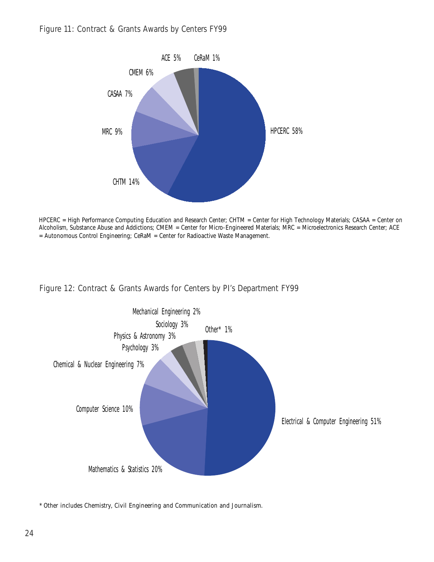

HPCERC = High Performance Computing Education and Research Center; CHTM = Center for High Technology Materials; CASAA = Center on Alcoholism, Substance Abuse and Addictions; CMEM = Center for Micro-Engineered Materials; MRC = Microelectronics Research Center; ACE = Autonomous Control Engineering; CeRaM = Center for Radioactive Waste Management.

Figure 12: Contract & Grants Awards for Centers by PI's Department FY99



\* *Other* includes Chemistry, Civil Engineering and Communication and Journalism.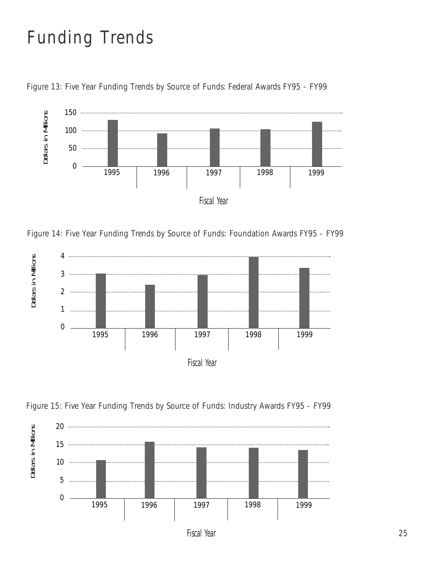# Funding Trends



Figure 13: Five Year Funding Trends by Source of Funds: Federal Awards FY95 - FY99

Figure 14: Five Year Funding Trends by Source of Funds: Foundation Awards FY95 - FY99



Figure 15: Five Year Funding Trends by Source of Funds: Industry Awards FY95 - FY99



Fiscal Year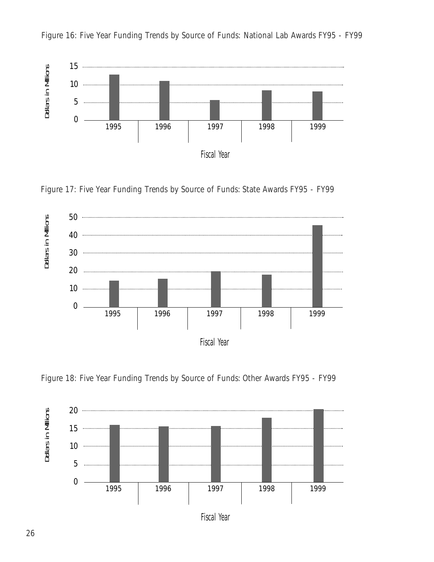

Figure 16: Five Year Funding Trends by Source of Funds: National Lab Awards FY95 - FY99





Figure 18: Five Year Funding Trends by Source of Funds: Other Awards FY95 - FY99



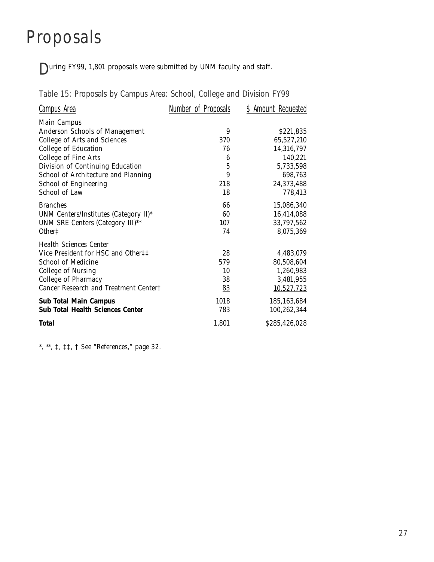## Proposals

During FY99, 1,801 proposals were submitted by UNM faculty and staff.

Table 15: Proposals by Campus Area: School, College and Division FY99

| Campus Area                             | Number of Proposals | \$ Amount Requested |
|-----------------------------------------|---------------------|---------------------|
| Main Campus                             |                     |                     |
| Anderson Schools of Management          | 9                   | \$221,835           |
| College of Arts and Sciences            | 370                 | 65,527,210          |
| <b>College of Education</b>             | 76                  | 14,316,797          |
| <b>College of Fine Arts</b>             | $\boldsymbol{6}$    | 140,221             |
| Division of Continuing Education        | $\mathbf 5$         | 5,733,598           |
| School of Architecture and Planning     | 9                   | 698,763             |
| School of Engineering                   | 218                 | 24,373,488          |
| School of Law                           | 18                  | 778,413             |
| <b>Branches</b>                         | 66                  | 15,086,340          |
| UNM Centers/Institutes (Category II)*   | 60                  | 16,414,088          |
| UNM SRE Centers (Category III)**        | 107                 | 33,797,562          |
| Other <sup><math>\ddagger</math></sup>  | 74                  | 8,075,369           |
| <b>Health Sciences Center</b>           |                     |                     |
| Vice President for HSC and Other‡‡      | 28                  | 4,483,079           |
| School of Medicine                      | 579                 | 80,508,604          |
| College of Nursing                      | 10                  | 1,260,983           |
| College of Pharmacy                     | 38                  | 3,481,955           |
| Cancer Research and Treatment Center†   | 83                  | 10,527,723          |
| <b>Sub Total Main Campus</b>            | 1018                | 185, 163, 684       |
| <b>Sub Total Health Sciences Center</b> | <u>783</u>          | 100,262,344         |
| <b>Total</b>                            | 1,801               | \$285,426,028       |

*\*, \*\*, ‡, ‡‡, † See "References," page 32.*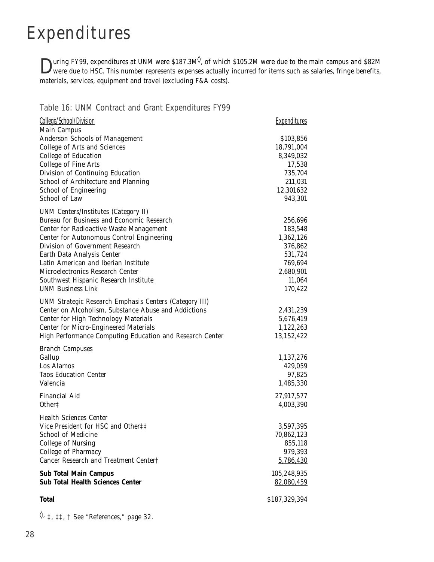## Expenditures

 $\sum$ uring FY99, expenditures at UNM were \$187.3M<sup> $\diamond$ </sup>, of which \$105.2M were due to the main campus and \$82M were due to HSC. This number represents expenses actually incurred for items such as salaries, fringe benefits, materials, services, equipment and travel (excluding F&A costs).

#### Table 16: UNM Contract and Grant Expenditures FY99

| College/School/Division                                       | <b>Expenditures</b>  |
|---------------------------------------------------------------|----------------------|
| <b>Main Campus</b>                                            |                      |
| Anderson Schools of Management                                | \$103,856            |
| College of Arts and Sciences                                  | 18,791,004           |
| <b>College of Education</b>                                   | 8,349,032            |
| College of Fine Arts                                          | 17,538               |
| Division of Continuing Education                              | 735,704              |
| School of Architecture and Planning                           | 211,031              |
| School of Engineering<br>School of Law                        | 12,301632<br>943,301 |
|                                                               |                      |
| <b>UNM Centers/Institutes (Category II)</b>                   |                      |
| Bureau for Business and Economic Research                     | 256,696              |
| Center for Radioactive Waste Management                       | 183,548              |
| Center for Autonomous Control Engineering                     | 1,362,126            |
| Division of Government Research                               | 376,862              |
| Earth Data Analysis Center                                    | 531,724              |
| Latin American and Iberian Institute                          | 769,694              |
| Microelectronics Research Center                              | 2,680,901            |
| Southwest Hispanic Research Institute                         | 11,064               |
| <b>UNM Business Link</b>                                      | 170,422              |
| <b>UNM Strategic Research Emphasis Centers (Category III)</b> |                      |
| Center on Alcoholism, Substance Abuse and Addictions          | 2,431,239            |
| Center for High Technology Materials                          | 5,676,419            |
| <b>Center for Micro-Engineered Materials</b>                  | 1,122,263            |
| High Performance Computing Education and Research Center      | 13,152,422           |
| <b>Branch Campuses</b>                                        |                      |
| Gallup                                                        | 1,137,276            |
| Los Alamos                                                    | 429,059              |
| <b>Taos Education Center</b>                                  | 97,825               |
| Valencia                                                      | 1,485,330            |
| Financial Aid                                                 | 27,917,577           |
| Other <sup>+</sup>                                            | 4,003,390            |
| <b>Health Sciences Center</b>                                 |                      |
| Vice President for HSC and Other##                            | 3,597,395            |
| School of Medicine                                            | 70,862,123           |
| College of Nursing                                            | 855,118              |
| College of Pharmacy                                           | 979,393              |
| Cancer Research and Treatment Center†                         | 5,786,430            |
| <b>Sub Total Main Campus</b>                                  | 105,248,935          |
| <b>Sub Total Health Sciences Center</b>                       | <u>82,080,459</u>    |
| <b>Total</b>                                                  | \$187,329,394        |

◊*, ‡, ‡‡, † See "References," page 32.*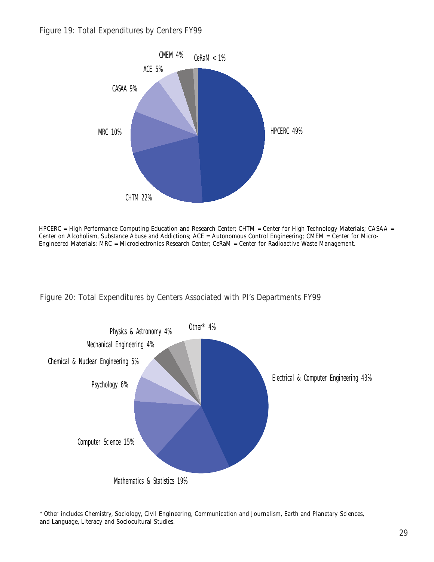

HPCERC = High Performance Computing Education and Research Center; CHTM = Center for High Technology Materials; CASAA = Center on Alcoholism, Substance Abuse and Addictions; ACE = Autonomous Control Engineering; CMEM = Center for Micro-Engineered Materials; MRC = Microelectronics Research Center; CeRaM = Center for Radioactive Waste Management.





<sup>\*</sup> *Other* includes Chemistry, Sociology, Civil Engineering, Communication and Journalism, Earth and Planetary Sciences, and Language, Literacy and Sociocultural Studies.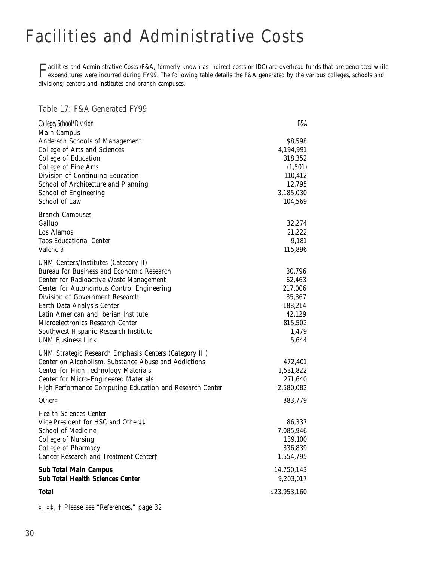# Facilities and Administrative Costs

**Tacilities and Administrative Costs (F&A, formerly known as indirect costs or IDC) are overhead funds that are generated while<br>Expenditures were incurred during FY99. The following table details the F&A generated by the v** divisions; centers and institutes and branch campuses.

Table 17: F&A Generated FY99

| College/School/Division                                                                                               | <u>F&amp;A</u>       |
|-----------------------------------------------------------------------------------------------------------------------|----------------------|
| <b>Main Campus</b>                                                                                                    |                      |
| <b>Anderson Schools of Management</b>                                                                                 | \$8,598              |
| <b>College of Arts and Sciences</b><br>College of Education                                                           | 4,194,991<br>318,352 |
| College of Fine Arts                                                                                                  | (1, 501)             |
| Division of Continuing Education                                                                                      | 110,412              |
| School of Architecture and Planning                                                                                   | 12,795               |
| School of Engineering                                                                                                 | 3,185,030            |
| School of Law                                                                                                         | 104,569              |
| <b>Branch Campuses</b>                                                                                                |                      |
| Gallup                                                                                                                | 32,274               |
| Los Alamos                                                                                                            | 21,222               |
| <b>Taos Educational Center</b>                                                                                        | 9,181                |
| Valencia                                                                                                              | 115,896              |
| <b>UNM Centers/Institutes (Category II)</b>                                                                           |                      |
| <b>Bureau for Business and Economic Research</b>                                                                      | 30,796               |
| Center for Radioactive Waste Management                                                                               | 62,463               |
| Center for Autonomous Control Engineering                                                                             | 217,006              |
| Division of Government Research                                                                                       | 35,367               |
| Earth Data Analysis Center                                                                                            | 188,214              |
| Latin American and Iberian Institute<br>Microelectronics Research Center                                              | 42,129               |
|                                                                                                                       | 815,502<br>1,479     |
| Southwest Hispanic Research Institute<br><b>UNM Business Link</b>                                                     | 5,644                |
|                                                                                                                       |                      |
| <b>UNM Strategic Research Emphasis Centers (Category III)</b><br>Center on Alcoholism, Substance Abuse and Addictions | 472,401              |
| Center for High Technology Materials                                                                                  | 1,531,822            |
| <b>Center for Micro-Engineered Materials</b>                                                                          | 271,640              |
| High Performance Computing Education and Research Center                                                              | 2,580,082            |
| Other <sup>†</sup>                                                                                                    | 383,779              |
| <b>Health Sciences Center</b>                                                                                         |                      |
| Vice President for HSC and Other‡‡                                                                                    | 86,337               |
| School of Medicine                                                                                                    | 7,085,946            |
| <b>College of Nursing</b>                                                                                             | 139,100              |
| College of Pharmacy                                                                                                   | 336,839              |
| Cancer Research and Treatment Center†                                                                                 | 1,554,795            |
| <b>Sub Total Main Campus</b>                                                                                          | 14,750,143           |
| <b>Sub Total Health Sciences Center</b>                                                                               | 9,203,017            |
| <b>Total</b>                                                                                                          | \$23,953,160         |

*‡, ‡‡, † Please see "References," page 32.*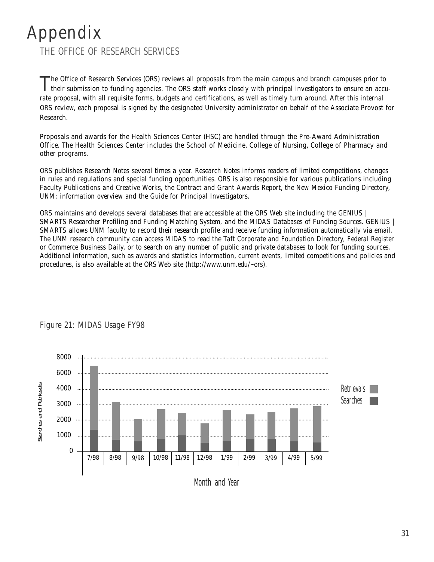#### Appendix THE OFFICE OF RESEARCH SERVICES

The Office of Research Services (ORS) reviews all proposals from the main campus and branch campuses prior to their submission to funding agencies. The ORS staff works closely with principal investigators to ensure an accu rate proposal, with all requisite forms, budgets and certifications, as well as timely turn around. After this internal ORS review, each proposal is signed by the designated University administrator on behalf of the Associate Provost for Research.

Proposals and awards for the Health Sciences Center (HSC) are handled through the Pre-Award Administration Office. The Health Sciences Center includes the School of Medicine, College of Nursing, College of Pharmacy and other programs.

ORS publishes *Research Notes* several times a year. *Research Notes* informs readers of limited competitions, changes in rules and regulations and special funding opportunities. ORS is also responsible for various publications including *Faculty Publications and Creative Works,* the *Contract and Grant Awards Report*, the *New Mexico Funding Directory, UNM: information overview and* the *Guide for Principal Investigators.* 

ORS maintains and develops several databases that are accessible at the ORS Web site including the *GENIUS | SMARTS Researcher Profiling and Funding Matching System,* and the *MIDAS Databases of Funding Sources*. *GENIUS | SMARTS* allows UNM faculty to record their research profile and receive funding information automatically via email. The UNM research community can access *MIDAS* to read the *Taft Corporate and Foundation Directory, Federal Register* or *Commerce Business Daily,* or to search on any number of public and private databases to look for funding sources. Additional information, such as awards and statistics information, current events, limited competitions and policies and procedures, is also available at the ORS Web site *(http://www.unm.edu/~ors)*.



#### Figure 21: MIDAS Usage FY98